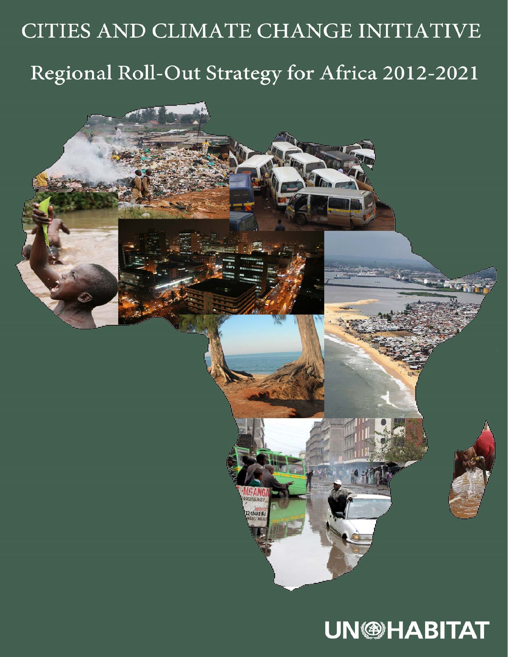# CITIES AND CLIMATE CHANGE INITIATIVE Regional Roll-Out Strategy for Africa 2012-2021

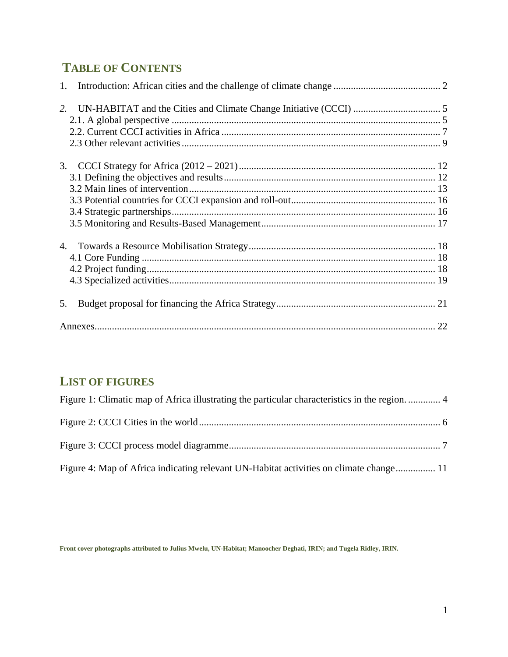# **TABLE OF CONTENTS**

| 3. |  |
|----|--|
|    |  |
|    |  |
|    |  |
|    |  |
|    |  |
|    |  |
|    |  |
|    |  |
|    |  |
| 5. |  |
|    |  |

## **LIST OF FIGURES**

| Figure 1: Climatic map of Africa illustrating the particular characteristics in the region 4 |
|----------------------------------------------------------------------------------------------|
|                                                                                              |
|                                                                                              |
| Figure 4: Map of Africa indicating relevant UN-Habitat activities on climate change 11       |

**Front cover photographs attributed to Julius Mwelu, UN-Habitat; Manoocher Deghati, IRIN; and Tugela Ridley, IRIN.**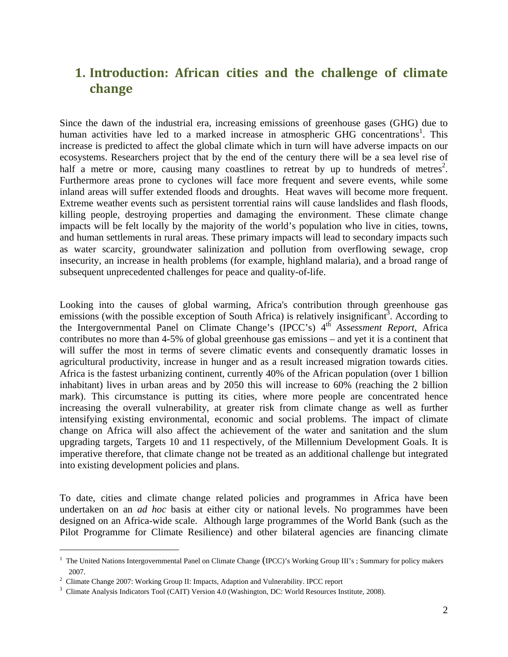## **1. Introduction: African cities and the challenge of climate change**

Since the dawn of the industrial era, increasing emissions of greenhouse gases (GHG) due to human activities have led to a marked increase in atmospheric GHG concentrations<sup>1</sup>. This increase is predicted to affect the global climate which in turn will have adverse impacts on our ecosystems. Researchers project that by the end of the century there will be a sea level rise of half a metre or more, causing many coastlines to retreat by up to hundreds of metres<sup>2</sup>. Furthermore areas prone to cyclones will face more frequent and severe events, while some inland areas will suffer extended floods and droughts. Heat waves will become more frequent. Extreme weather events such as persistent torrential rains will cause landslides and flash floods, killing people, destroying properties and damaging the environment. These climate change impacts will be felt locally by the majority of the world's population who live in cities, towns, and human settlements in rural areas. These primary impacts will lead to secondary impacts such as water scarcity, groundwater salinization and pollution from overflowing sewage, crop insecurity, an increase in health problems (for example, highland malaria), and a broad range of subsequent unprecedented challenges for peace and quality-of-life.

Looking into the causes of global warming, Africa's contribution through greenhouse gas emissions (with the possible exception of South Africa) is relatively insignificant<sup>3</sup>. According to the Intergovernmental Panel on Climate Change's (IPCC's) 4<sup>th</sup> *Assessment Report*, Africa contributes no more than 4-5% of global greenhouse gas emissions – and yet it is a continent that will suffer the most in terms of severe climatic events and consequently dramatic losses in agricultural productivity, increase in hunger and as a result increased migration towards cities. Africa is the fastest urbanizing continent, currently 40% of the African population (over 1 billion inhabitant) lives in urban areas and by 2050 this will increase to 60% (reaching the 2 billion mark). This circumstance is putting its cities, where more people are concentrated hence increasing the overall vulnerability, at greater risk from climate change as well as further intensifying existing environmental, economic and social problems. The impact of climate change on Africa will also affect the achievement of the water and sanitation and the slum upgrading targets, Targets 10 and 11 respectively, of the Millennium Development Goals. It is imperative therefore, that climate change not be treated as an additional challenge but integrated into existing development policies and plans.

To date, cities and climate change related policies and programmes in Africa have been undertaken on an *ad hoc* basis at either city or national levels. No programmes have been designed on an Africa-wide scale. Although large programmes of the World Bank (such as the Pilot Programme for Climate Resilience) and other bilateral agencies are financing climate

 $\overline{a}$ 

<sup>&</sup>lt;sup>1</sup> The United Nations Intergovernmental Panel on Climate Change (IPCC)'s Working Group III's ; Summary for policy makers  $2007.$ <sup>2</sup>

<sup>&</sup>lt;sup>2</sup> Climate Change 2007: Working Group II: Impacts, Adaption and Vulnerability. IPCC report  $\frac{3}{2}$  Climate Anglycia Indicators Tool (CAIT) Vorsion 4.0 (Weshington, DC: World Bessuress In

<sup>&</sup>lt;sup>3</sup> Climate Analysis Indicators Tool (CAIT) Version 4.0 (Washington, DC: World Resources Institute, 2008).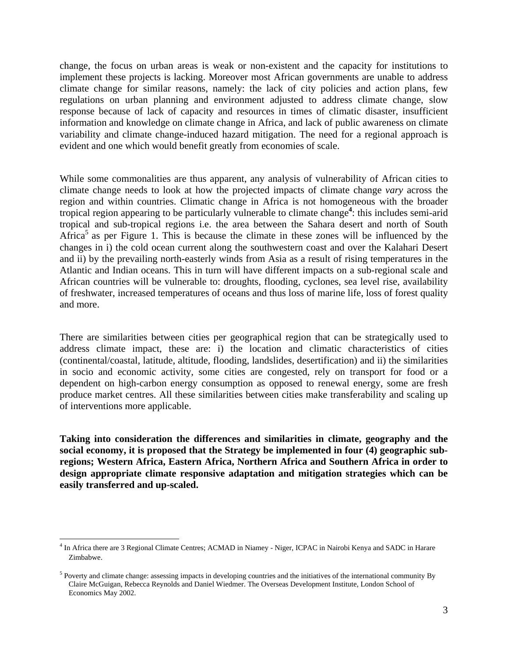change, the focus on urban areas is weak or non-existent and the capacity for institutions to implement these projects is lacking. Moreover most African governments are unable to address climate change for similar reasons, namely: the lack of city policies and action plans, few regulations on urban planning and environment adjusted to address climate change, slow response because of lack of capacity and resources in times of climatic disaster, insufficient information and knowledge on climate change in Africa, and lack of public awareness on climate variability and climate change-induced hazard mitigation. The need for a regional approach is evident and one which would benefit greatly from economies of scale.

While some commonalities are thus apparent, any analysis of vulnerability of African cities to climate change needs to look at how the projected impacts of climate change *vary* across the region and within countries. Climatic change in Africa is not homogeneous with the broader tropical region appearing to be particularly vulnerable to climate change**<sup>4</sup>** : this includes semi-arid tropical and sub-tropical regions i.e. the area between the Sahara desert and north of South Africa<sup>5</sup> as per Figure 1. This is because the climate in these zones will be influenced by the changes in i) the cold ocean current along the southwestern coast and over the Kalahari Desert and ii) by the prevailing north-easterly winds from Asia as a result of rising temperatures in the Atlantic and Indian oceans. This in turn will have different impacts on a sub-regional scale and African countries will be vulnerable to: droughts, flooding, cyclones, sea level rise, availability of freshwater, increased temperatures of oceans and thus loss of marine life, loss of forest quality and more.

There are similarities between cities per geographical region that can be strategically used to address climate impact, these are: i) the location and climatic characteristics of cities (continental/coastal, latitude, altitude, flooding, landslides, desertification) and ii) the similarities in socio and economic activity, some cities are congested, rely on transport for food or a dependent on high-carbon energy consumption as opposed to renewal energy, some are fresh produce market centres. All these similarities between cities make transferability and scaling up of interventions more applicable.

**Taking into consideration the differences and similarities in climate, geography and the social economy, it is proposed that the Strategy be implemented in four (4) geographic subregions; Western Africa, Eastern Africa, Northern Africa and Southern Africa in order to design appropriate climate responsive adaptation and mitigation strategies which can be easily transferred and up-scaled.** 

 4 In Africa there are 3 Regional Climate Centres; ACMAD in Niamey - Niger, ICPAC in Nairobi Kenya and SADC in Harare Zimbabwe.

 $<sup>5</sup>$  Poverty and climate change: assessing impacts in developing countries and the initiatives of the international community By</sup> Claire McGuigan, Rebecca Reynolds and Daniel Wiedmer. The Overseas Development Institute, London School of Economics May 2002.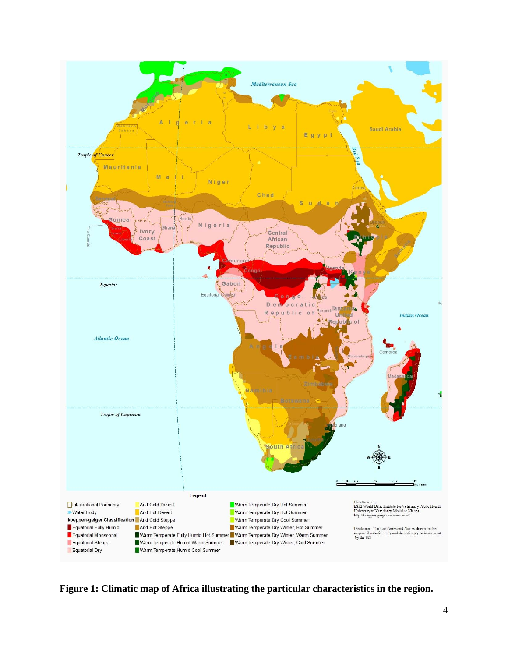

**Figure 1: Climatic map of Africa illustrating the particular characteristics in the region.**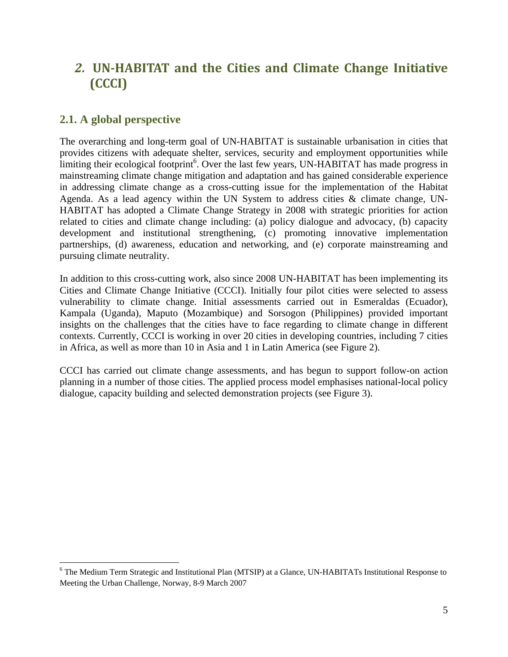## *2.* **UN‐HABITAT and the Cities and Climate Change Initiative (CCCI)**

#### **2.1. A global perspective**

 $\overline{a}$ 

The overarching and long-term goal of UN-HABITAT is sustainable urbanisation in cities that provides citizens with adequate shelter, services, security and employment opportunities while limiting their ecological footprint<sup>6</sup>. Over the last few years, UN-HABITAT has made progress in mainstreaming climate change mitigation and adaptation and has gained considerable experience in addressing climate change as a cross-cutting issue for the implementation of the Habitat Agenda. As a lead agency within the UN System to address cities & climate change, UN-HABITAT has adopted a Climate Change Strategy in 2008 with strategic priorities for action related to cities and climate change including: (a) policy dialogue and advocacy, (b) capacity development and institutional strengthening, (c) promoting innovative implementation partnerships, (d) awareness, education and networking, and (e) corporate mainstreaming and pursuing climate neutrality.

In addition to this cross-cutting work, also since 2008 UN-HABITAT has been implementing its Cities and Climate Change Initiative (CCCI). Initially four pilot cities were selected to assess vulnerability to climate change. Initial assessments carried out in Esmeraldas (Ecuador), Kampala (Uganda), Maputo (Mozambique) and Sorsogon (Philippines) provided important insights on the challenges that the cities have to face regarding to climate change in different contexts. Currently, CCCI is working in over 20 cities in developing countries, including 7 cities in Africa, as well as more than 10 in Asia and 1 in Latin America (see Figure 2).

CCCI has carried out climate change assessments, and has begun to support follow-on action planning in a number of those cities. The applied process model emphasises national-local policy dialogue, capacity building and selected demonstration projects (see Figure 3).

<sup>&</sup>lt;sup>6</sup> The Medium Term Strategic and Institutional Plan (MTSIP) at a Glance, UN-HABITATs Institutional Response to Meeting the Urban Challenge, Norway, 8-9 March 2007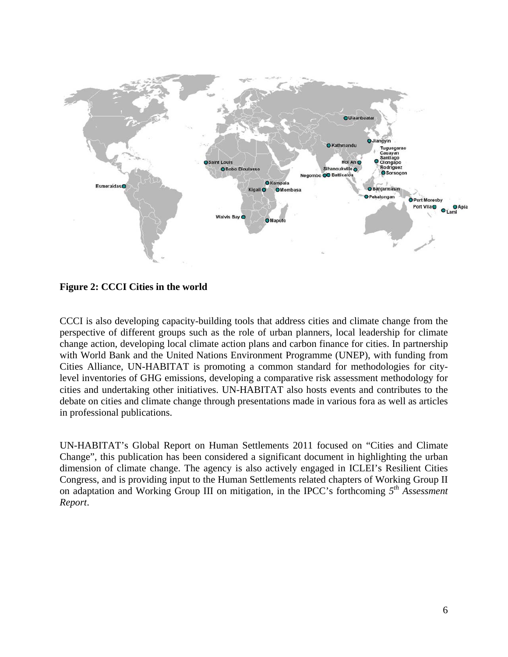

**Figure 2: CCCI Cities in the world** 

CCCI is also developing capacity-building tools that address cities and climate change from the perspective of different groups such as the role of urban planners, local leadership for climate change action, developing local climate action plans and carbon finance for cities. In partnership with World Bank and the United Nations Environment Programme (UNEP), with funding from Cities Alliance, UN-HABITAT is promoting a common standard for methodologies for citylevel inventories of GHG emissions, developing a comparative risk assessment methodology for cities and undertaking other initiatives. UN-HABITAT also hosts events and contributes to the debate on cities and climate change through presentations made in various fora as well as articles in professional publications.

UN-HABITAT's Global Report on Human Settlements 2011 focused on "Cities and Climate Change", this publication has been considered a significant document in highlighting the urban dimension of climate change. The agency is also actively engaged in ICLEI's Resilient Cities Congress, and is providing input to the Human Settlements related chapters of Working Group II on adaptation and Working Group III on mitigation, in the IPCC's forthcoming *5th Assessment Report*.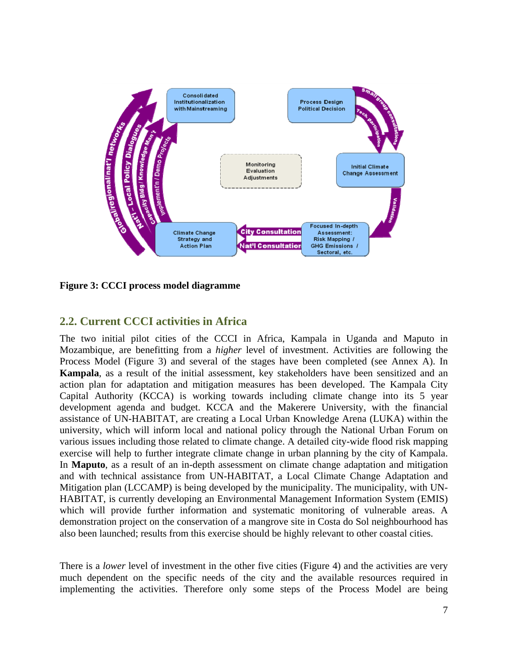

**Figure 3: CCCI process model diagramme** 

#### **2.2. Current CCCI activities in Africa**

The two initial pilot cities of the CCCI in Africa, Kampala in Uganda and Maputo in Mozambique, are benefitting from a *higher* level of investment. Activities are following the Process Model (Figure 3) and several of the stages have been completed (see Annex A). In **Kampala**, as a result of the initial assessment, key stakeholders have been sensitized and an action plan for adaptation and mitigation measures has been developed. The Kampala City Capital Authority (KCCA) is working towards including climate change into its 5 year development agenda and budget. KCCA and the Makerere University, with the financial assistance of UN-HABITAT, are creating a Local Urban Knowledge Arena (LUKA) within the university, which will inform local and national policy through the National Urban Forum on various issues including those related to climate change. A detailed city-wide flood risk mapping exercise will help to further integrate climate change in urban planning by the city of Kampala. In **Maputo**, as a result of an in-depth assessment on climate change adaptation and mitigation and with technical assistance from UN-HABITAT, a Local Climate Change Adaptation and Mitigation plan (LCCAMP) is being developed by the municipality. The municipality, with UN-HABITAT, is currently developing an Environmental Management Information System (EMIS) which will provide further information and systematic monitoring of vulnerable areas. A demonstration project on the conservation of a mangrove site in Costa do Sol neighbourhood has also been launched; results from this exercise should be highly relevant to other coastal cities.

There is a *lower* level of investment in the other five cities (Figure 4) and the activities are very much dependent on the specific needs of the city and the available resources required in implementing the activities. Therefore only some steps of the Process Model are being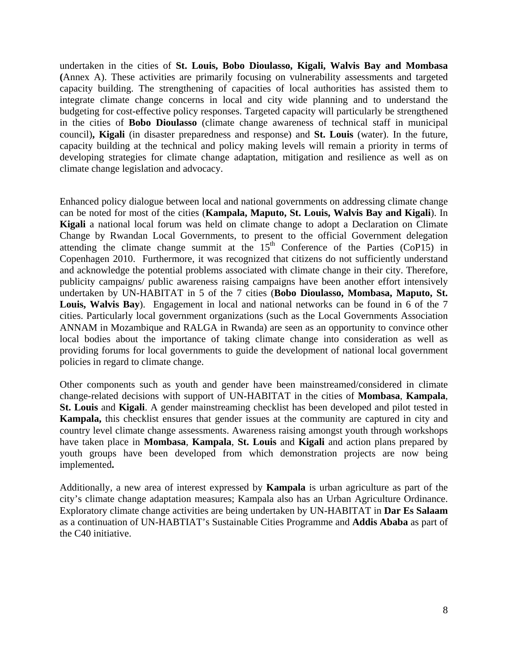undertaken in the cities of **St. Louis, Bobo Dioulasso, Kigali, Walvis Bay and Mombasa (**Annex A). These activities are primarily focusing on vulnerability assessments and targeted capacity building. The strengthening of capacities of local authorities has assisted them to integrate climate change concerns in local and city wide planning and to understand the budgeting for cost-effective policy responses. Targeted capacity will particularly be strengthened in the cities of **Bobo Dioulasso** (climate change awareness of technical staff in municipal council)**, Kigali** (in disaster preparedness and response) and **St. Louis** (water). In the future, capacity building at the technical and policy making levels will remain a priority in terms of developing strategies for climate change adaptation, mitigation and resilience as well as on climate change legislation and advocacy.

Enhanced policy dialogue between local and national governments on addressing climate change can be noted for most of the cities (**Kampala, Maputo, St. Louis, Walvis Bay and Kigali**). In **Kigali** a national local forum was held on climate change to adopt a Declaration on Climate Change by Rwandan Local Governments, to present to the official Government delegation attending the climate change summit at the  $15<sup>th</sup>$  Conference of the Parties (CoP15) in Copenhagen 2010. Furthermore, it was recognized that citizens do not sufficiently understand and acknowledge the potential problems associated with climate change in their city. Therefore, publicity campaigns/ public awareness raising campaigns have been another effort intensively undertaken by UN-HABITAT in 5 of the 7 cities (**Bobo Dioulasso, Mombasa, Maputo, St. Louis, Walvis Bay**). Engagement in local and national networks can be found in 6 of the 7 cities. Particularly local government organizations (such as the Local Governments Association ANNAM in Mozambique and RALGA in Rwanda) are seen as an opportunity to convince other local bodies about the importance of taking climate change into consideration as well as providing forums for local governments to guide the development of national local government policies in regard to climate change.

Other components such as youth and gender have been mainstreamed/considered in climate change-related decisions with support of UN-HABITAT in the cities of **Mombasa**, **Kampala**, **St. Louis** and **Kigali**. A gender mainstreaming checklist has been developed and pilot tested in **Kampala,** this checklist ensures that gender issues at the community are captured in city and country level climate change assessments. Awareness raising amongst youth through workshops have taken place in **Mombasa**, **Kampala**, **St. Louis** and **Kigali** and action plans prepared by youth groups have been developed from which demonstration projects are now being implemented**.**

Additionally, a new area of interest expressed by **Kampala** is urban agriculture as part of the city's climate change adaptation measures; Kampala also has an Urban Agriculture Ordinance. Exploratory climate change activities are being undertaken by UN-HABITAT in **Dar Es Salaam** as a continuation of UN-HABTIAT's Sustainable Cities Programme and **Addis Ababa** as part of the C40 initiative.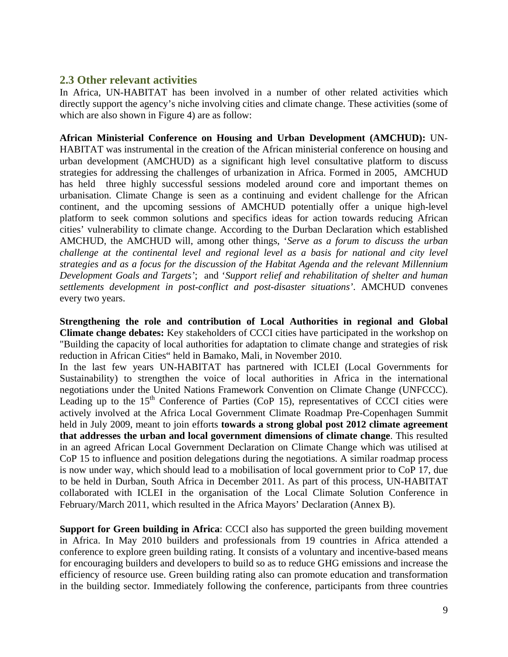#### **2.3 Other relevant activities**

In Africa, UN-HABITAT has been involved in a number of other related activities which directly support the agency's niche involving cities and climate change. These activities (some of which are also shown in Figure 4) are as follow:

**African Ministerial Conference on Housing and Urban Development (AMCHUD):** UN-HABITAT was instrumental in the creation of the African ministerial conference on housing and urban development (AMCHUD) as a significant high level consultative platform to discuss strategies for addressing the challenges of urbanization in Africa. Formed in 2005, AMCHUD has held three highly successful sessions modeled around core and important themes on urbanisation. Climate Change is seen as a continuing and evident challenge for the African continent, and the upcoming sessions of AMCHUD potentially offer a unique high-level platform to seek common solutions and specifics ideas for action towards reducing African cities' vulnerability to climate change. According to the Durban Declaration which established AMCHUD, the AMCHUD will, among other things, '*Serve as a forum to discuss the urban challenge at the continental level and regional level as a basis for national and city level strategies and as a focus for the discussion of the Habitat Agenda and the relevant Millennium Development Goals and Targets'*; and '*Support relief and rehabilitation of shelter and human settlements development in post-conflict and post-disaster situations'*. AMCHUD convenes every two years.

**Strengthening the role and contribution of Local Authorities in regional and Global Climate change debates:** Key stakeholders of CCCI cities have participated in the workshop on "Building the capacity of local authorities for adaptation to climate change and strategies of risk reduction in African Cities" held in Bamako, Mali, in November 2010.

In the last few years UN-HABITAT has partnered with ICLEI (Local Governments for Sustainability) to strengthen the voice of local authorities in Africa in the international negotiations under the United Nations Framework Convention on Climate Change (UNFCCC). Leading up to the  $15<sup>th</sup>$  Conference of Parties (CoP 15), representatives of CCCI cities were actively involved at the Africa Local Government Climate Roadmap Pre-Copenhagen Summit held in July 2009, meant to join efforts **towards a strong global post 2012 climate agreement that addresses the urban and local government dimensions of climate change**. This resulted in an agreed African Local Government Declaration on Climate Change which was utilised at CoP 15 to influence and position delegations during the negotiations. A similar roadmap process is now under way, which should lead to a mobilisation of local government prior to CoP 17, due to be held in Durban, South Africa in December 2011. As part of this process, UN-HABITAT collaborated with ICLEI in the organisation of the Local Climate Solution Conference in February/March 2011, which resulted in the Africa Mayors' Declaration (Annex B).

**Support for Green building in Africa**: CCCI also has supported the green building movement in Africa. In May 2010 builders and professionals from 19 countries in Africa attended a conference to explore green building rating. It consists of a voluntary and incentive-based means for encouraging builders and developers to build so as to reduce GHG emissions and increase the efficiency of resource use. Green building rating also can promote education and transformation in the building sector. Immediately following the conference, participants from three countries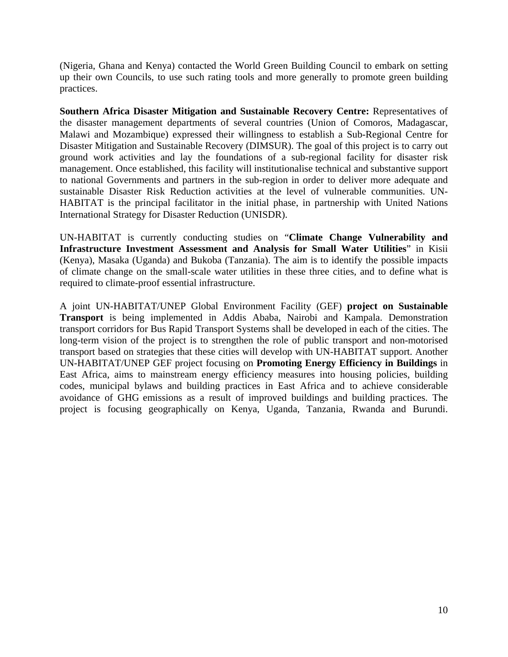(Nigeria, Ghana and Kenya) contacted the World Green Building Council to embark on setting up their own Councils, to use such rating tools and more generally to promote green building practices.

**Southern Africa Disaster Mitigation and Sustainable Recovery Centre:** Representatives of the disaster management departments of several countries (Union of Comoros, Madagascar, Malawi and Mozambique) expressed their willingness to establish a Sub-Regional Centre for Disaster Mitigation and Sustainable Recovery (DIMSUR). The goal of this project is to carry out ground work activities and lay the foundations of a sub-regional facility for disaster risk management. Once established, this facility will institutionalise technical and substantive support to national Governments and partners in the sub-region in order to deliver more adequate and sustainable Disaster Risk Reduction activities at the level of vulnerable communities. UN-HABITAT is the principal facilitator in the initial phase, in partnership with United Nations International Strategy for Disaster Reduction (UNISDR).

UN-HABITAT is currently conducting studies on "**Climate Change Vulnerability and Infrastructure Investment Assessment and Analysis for Small Water Utilities**" in Kisii (Kenya), Masaka (Uganda) and Bukoba (Tanzania). The aim is to identify the possible impacts of climate change on the small-scale water utilities in these three cities, and to define what is required to climate-proof essential infrastructure.

A joint UN-HABITAT/UNEP Global Environment Facility (GEF) **project on Sustainable Transport** is being implemented in Addis Ababa, Nairobi and Kampala. Demonstration transport corridors for Bus Rapid Transport Systems shall be developed in each of the cities. The long-term vision of the project is to strengthen the role of public transport and non-motorised transport based on strategies that these cities will develop with UN-HABITAT support. Another UN-HABITAT/UNEP GEF project focusing on **Promoting Energy Efficiency in Buildings** in East Africa, aims to mainstream energy efficiency measures into housing policies, building codes, municipal bylaws and building practices in East Africa and to achieve considerable avoidance of GHG emissions as a result of improved buildings and building practices. The project is focusing geographically on Kenya, Uganda, Tanzania, Rwanda and Burundi.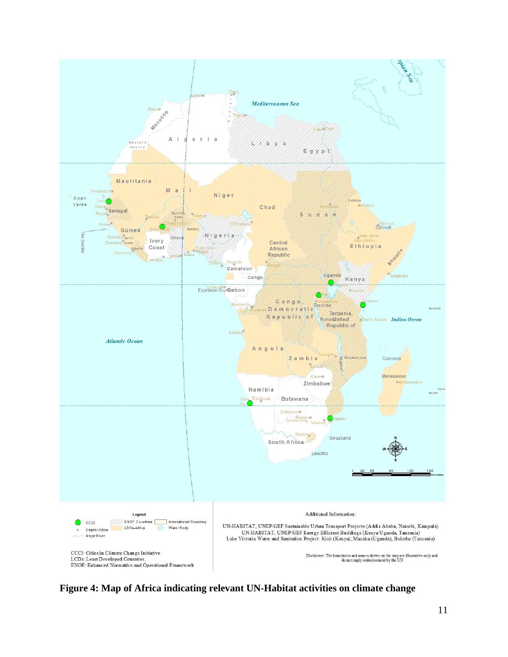

**Figure 4: Map of Africa indicating relevant UN-Habitat activities on climate change**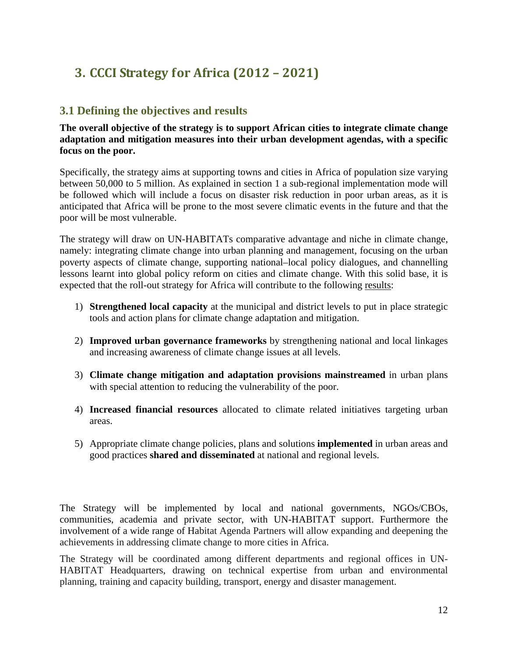# **3. CCCI Strategy for Africa (2012 – 2021)**

#### **3.1 Defining the objectives and results**

**The overall objective of the strategy is to support African cities to integrate climate change adaptation and mitigation measures into their urban development agendas, with a specific focus on the poor.** 

Specifically, the strategy aims at supporting towns and cities in Africa of population size varying between 50,000 to 5 million. As explained in section 1 a sub-regional implementation mode will be followed which will include a focus on disaster risk reduction in poor urban areas, as it is anticipated that Africa will be prone to the most severe climatic events in the future and that the poor will be most vulnerable.

The strategy will draw on UN-HABITATs comparative advantage and niche in climate change, namely: integrating climate change into urban planning and management, focusing on the urban poverty aspects of climate change, supporting national–local policy dialogues, and channelling lessons learnt into global policy reform on cities and climate change. With this solid base, it is expected that the roll-out strategy for Africa will contribute to the following results:

- 1) **Strengthened local capacity** at the municipal and district levels to put in place strategic tools and action plans for climate change adaptation and mitigation.
- 2) **Improved urban governance frameworks** by strengthening national and local linkages and increasing awareness of climate change issues at all levels.
- 3) **Climate change mitigation and adaptation provisions mainstreamed** in urban plans with special attention to reducing the vulnerability of the poor.
- 4) **Increased financial resources** allocated to climate related initiatives targeting urban areas.
- 5) Appropriate climate change policies, plans and solutions **implemented** in urban areas and good practices **shared and disseminated** at national and regional levels.

The Strategy will be implemented by local and national governments, NGOs/CBOs, communities, academia and private sector, with UN-HABITAT support. Furthermore the involvement of a wide range of Habitat Agenda Partners will allow expanding and deepening the achievements in addressing climate change to more cities in Africa.

The Strategy will be coordinated among different departments and regional offices in UN-HABITAT Headquarters, drawing on technical expertise from urban and environmental planning, training and capacity building, transport, energy and disaster management.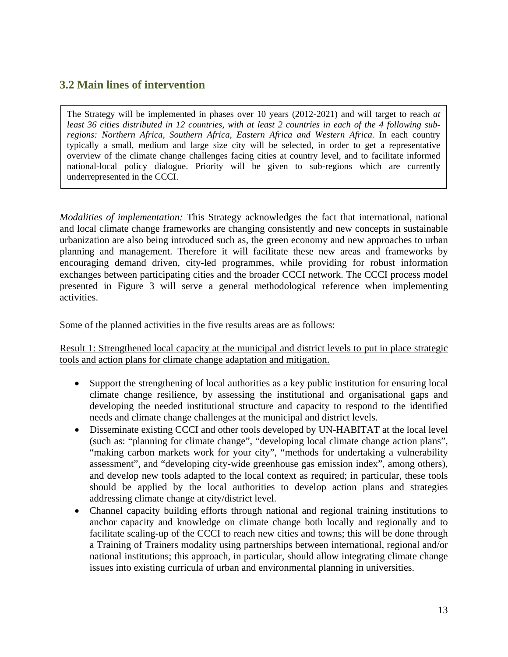#### **3.2 Main lines of intervention**

The Strategy will be implemented in phases over 10 years (2012-2021) and will target to reach *at least 36 cities distributed in 12 countries, with at least 2 countries in each of the 4 following subregions: Northern Africa, Southern Africa, Eastern Africa and Western Africa.* In each country typically a small, medium and large size city will be selected, in order to get a representative overview of the climate change challenges facing cities at country level, and to facilitate informed national-local policy dialogue. Priority will be given to sub-regions which are currently underrepresented in the CCCI.

*Modalities of implementation:* This Strategy acknowledges the fact that international, national and local climate change frameworks are changing consistently and new concepts in sustainable urbanization are also being introduced such as, the green economy and new approaches to urban planning and management. Therefore it will facilitate these new areas and frameworks by encouraging demand driven, city-led programmes, while providing for robust information exchanges between participating cities and the broader CCCI network. The CCCI process model presented in Figure 3 will serve a general methodological reference when implementing activities.

Some of the planned activities in the five results areas are as follows:

Result 1: Strengthened local capacity at the municipal and district levels to put in place strategic tools and action plans for climate change adaptation and mitigation.

- Support the strengthening of local authorities as a key public institution for ensuring local climate change resilience, by assessing the institutional and organisational gaps and developing the needed institutional structure and capacity to respond to the identified needs and climate change challenges at the municipal and district levels.
- Disseminate existing CCCI and other tools developed by UN-HABITAT at the local level (such as: "planning for climate change", "developing local climate change action plans", "making carbon markets work for your city", "methods for undertaking a vulnerability assessment", and "developing city-wide greenhouse gas emission index", among others), and develop new tools adapted to the local context as required; in particular, these tools should be applied by the local authorities to develop action plans and strategies addressing climate change at city/district level.
- Channel capacity building efforts through national and regional training institutions to anchor capacity and knowledge on climate change both locally and regionally and to facilitate scaling-up of the CCCI to reach new cities and towns; this will be done through a Training of Trainers modality using partnerships between international, regional and/or national institutions; this approach, in particular, should allow integrating climate change issues into existing curricula of urban and environmental planning in universities.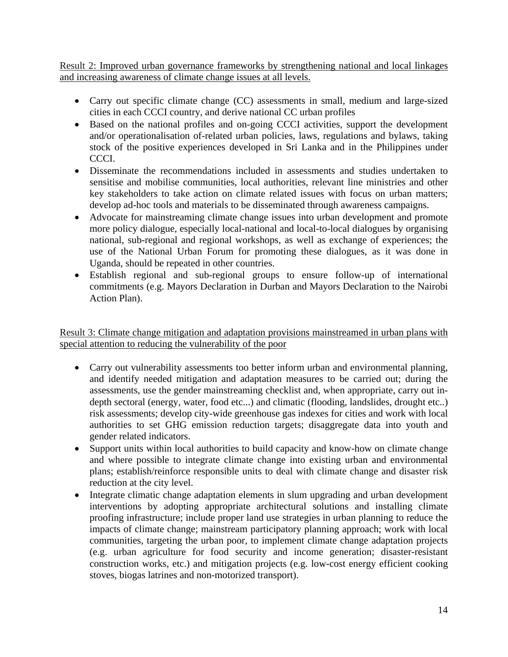Result 2: Improved urban governance frameworks by strengthening national and local linkages and increasing awareness of climate change issues at all levels.

- Carry out specific climate change (CC) assessments in small, medium and large-sized cities in each CCCI country, and derive national CC urban profiles
- Based on the national profiles and on-going CCCI activities, support the development and/or operationalisation of-related urban policies, laws, regulations and bylaws, taking stock of the positive experiences developed in Sri Lanka and in the Philippines under CCCI.
- Disseminate the recommendations included in assessments and studies undertaken to sensitise and mobilise communities, local authorities, relevant line ministries and other key stakeholders to take action on climate related issues with focus on urban matters; develop ad-hoc tools and materials to be disseminated through awareness campaigns.
- Advocate for mainstreaming climate change issues into urban development and promote more policy dialogue, especially local-national and local-to-local dialogues by organising national, sub-regional and regional workshops, as well as exchange of experiences; the use of the National Urban Forum for promoting these dialogues, as it was done in Uganda, should be repeated in other countries.
- Establish regional and sub-regional groups to ensure follow-up of international commitments (e.g. Mayors Declaration in Durban and Mayors Declaration to the Nairobi Action Plan).

Result 3: Climate change mitigation and adaptation provisions mainstreamed in urban plans with special attention to reducing the vulnerability of the poor

- Carry out vulnerability assessments too better inform urban and environmental planning, and identify needed mitigation and adaptation measures to be carried out; during the assessments, use the gender mainstreaming checklist and, when appropriate, carry out indepth sectoral (energy, water, food etc...) and climatic (flooding, landslides, drought etc..) risk assessments; develop city-wide greenhouse gas indexes for cities and work with local authorities to set GHG emission reduction targets; disaggregate data into youth and gender related indicators.
- Support units within local authorities to build capacity and know-how on climate change and where possible to integrate climate change into existing urban and environmental plans; establish/reinforce responsible units to deal with climate change and disaster risk reduction at the city level.
- Integrate climatic change adaptation elements in slum upgrading and urban development interventions by adopting appropriate architectural solutions and installing climate proofing infrastructure; include proper land use strategies in urban planning to reduce the impacts of climate change; mainstream participatory planning approach; work with local communities, targeting the urban poor, to implement climate change adaptation projects (e.g. urban agriculture for food security and income generation; disaster-resistant construction works, etc.) and mitigation projects (e.g. low-cost energy efficient cooking stoves, biogas latrines and non-motorized transport).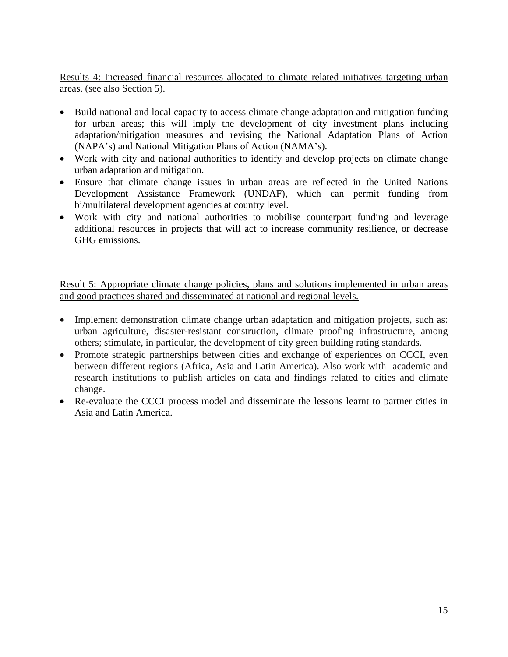Results 4: Increased financial resources allocated to climate related initiatives targeting urban areas. (see also Section 5).

- Build national and local capacity to access climate change adaptation and mitigation funding for urban areas; this will imply the development of city investment plans including adaptation/mitigation measures and revising the National Adaptation Plans of Action (NAPA's) and National Mitigation Plans of Action (NAMA's).
- Work with city and national authorities to identify and develop projects on climate change urban adaptation and mitigation.
- Ensure that climate change issues in urban areas are reflected in the United Nations Development Assistance Framework (UNDAF), which can permit funding from bi/multilateral development agencies at country level.
- Work with city and national authorities to mobilise counterpart funding and leverage additional resources in projects that will act to increase community resilience, or decrease GHG emissions.

Result 5: Appropriate climate change policies, plans and solutions implemented in urban areas and good practices shared and disseminated at national and regional levels.

- Implement demonstration climate change urban adaptation and mitigation projects, such as: urban agriculture, disaster-resistant construction, climate proofing infrastructure, among others; stimulate, in particular, the development of city green building rating standards.
- Promote strategic partnerships between cities and exchange of experiences on CCCI, even between different regions (Africa, Asia and Latin America). Also work with academic and research institutions to publish articles on data and findings related to cities and climate change.
- Re-evaluate the CCCI process model and disseminate the lessons learnt to partner cities in Asia and Latin America.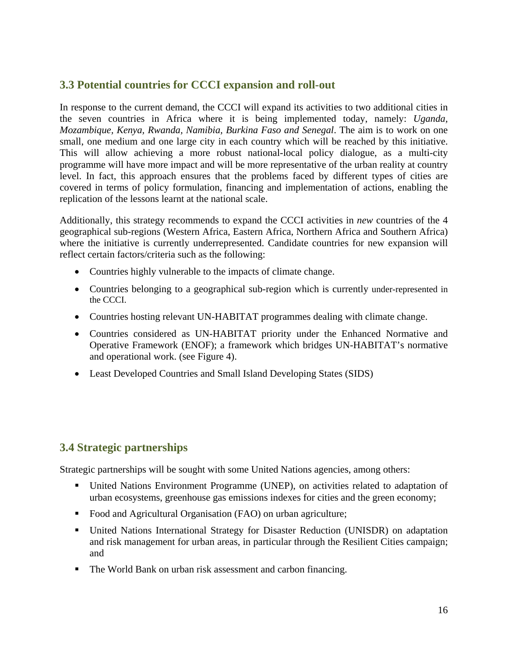#### **3.3 Potential countries for CCCI expansion and roll-out**

In response to the current demand, the CCCI will expand its activities to two additional cities in the seven countries in Africa where it is being implemented today, namely: *Uganda, Mozambique, Kenya, Rwanda, Namibia, Burkina Faso and Senegal*. The aim is to work on one small, one medium and one large city in each country which will be reached by this initiative. This will allow achieving a more robust national-local policy dialogue, as a multi-city programme will have more impact and will be more representative of the urban reality at country level. In fact, this approach ensures that the problems faced by different types of cities are covered in terms of policy formulation, financing and implementation of actions, enabling the replication of the lessons learnt at the national scale.

Additionally, this strategy recommends to expand the CCCI activities in *new* countries of the 4 geographical sub-regions (Western Africa, Eastern Africa, Northern Africa and Southern Africa) where the initiative is currently underrepresented. Candidate countries for new expansion will reflect certain factors/criteria such as the following:

- Countries highly vulnerable to the impacts of climate change.
- Countries belonging to a geographical sub-region which is currently under-represented in the CCCI.
- Countries hosting relevant UN-HABITAT programmes dealing with climate change.
- Countries considered as UN-HABITAT priority under the Enhanced Normative and Operative Framework (ENOF); a framework which bridges UN-HABITAT's normative and operational work. (see Figure 4).
- Least Developed Countries and Small Island Developing States (SIDS)

#### **3.4 Strategic partnerships**

Strategic partnerships will be sought with some United Nations agencies, among others:

- United Nations Environment Programme (UNEP), on activities related to adaptation of urban ecosystems, greenhouse gas emissions indexes for cities and the green economy;
- Food and Agricultural Organisation (FAO) on urban agriculture;
- United Nations International Strategy for Disaster Reduction (UNISDR) on adaptation and risk management for urban areas, in particular through the Resilient Cities campaign; and
- The World Bank on urban risk assessment and carbon financing.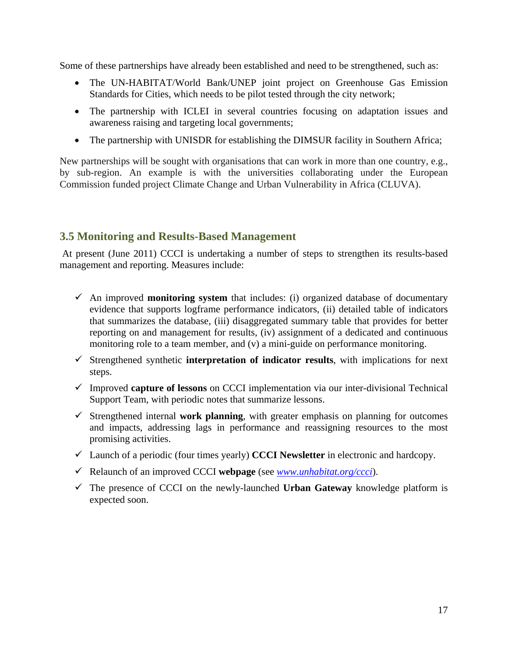Some of these partnerships have already been established and need to be strengthened, such as:

- The UN-HABITAT/World Bank/UNEP joint project on Greenhouse Gas Emission Standards for Cities, which needs to be pilot tested through the city network;
- The partnership with ICLEI in several countries focusing on adaptation issues and awareness raising and targeting local governments;
- The partnership with UNISDR for establishing the DIMSUR facility in Southern Africa;

New partnerships will be sought with organisations that can work in more than one country, e.g., by sub-region. An example is with the universities collaborating under the European Commission funded project Climate Change and Urban Vulnerability in Africa (CLUVA).

#### **3.5 Monitoring and Results-Based Management**

At present (June 2011) CCCI is undertaking a number of steps to strengthen its results-based management and reporting. Measures include:

- An improved **monitoring system** that includes: (i) organized database of documentary evidence that supports logframe performance indicators, (ii) detailed table of indicators that summarizes the database, (iii) disaggregated summary table that provides for better reporting on and management for results, (iv) assignment of a dedicated and continuous monitoring role to a team member, and (v) a mini-guide on performance monitoring.
- $\checkmark$  Strengthened synthetic **interpretation of indicator results**, with implications for next steps.
- Improved **capture of lessons** on CCCI implementation via our inter-divisional Technical Support Team, with periodic notes that summarize lessons.
- $\checkmark$  Strengthened internal **work planning**, with greater emphasis on planning for outcomes and impacts, addressing lags in performance and reassigning resources to the most promising activities.
- Launch of a periodic (four times yearly) **CCCI Newsletter** in electronic and hardcopy.
- Relaunch of an improved CCCI **webpage** (see *www.unhabitat.org/ccci*).
- $\checkmark$  The presence of CCCI on the newly-launched **Urban Gateway** knowledge platform is expected soon.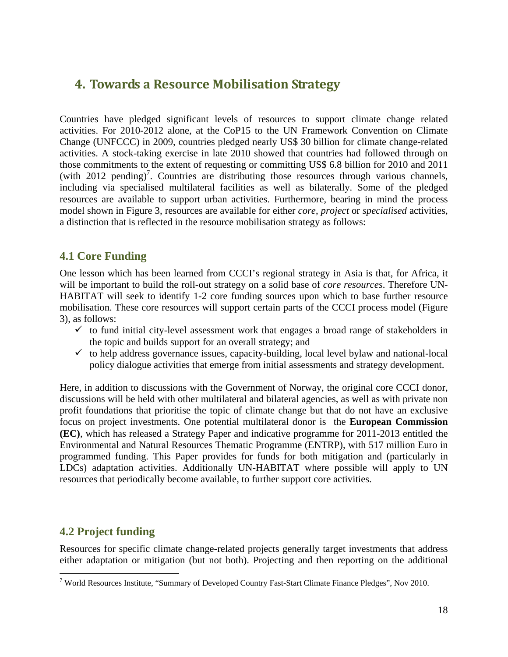## **4. Towards a Resource Mobilisation Strategy**

Countries have pledged significant levels of resources to support climate change related activities. For 2010-2012 alone, at the CoP15 to the UN Framework Convention on Climate Change (UNFCCC) in 2009, countries pledged nearly US\$ 30 billion for climate change-related activities. A stock-taking exercise in late 2010 showed that countries had followed through on those commitments to the extent of requesting or committing US\$ 6.8 billion for 2010 and 2011 (with  $2012$  pending)<sup>7</sup>. Countries are distributing those resources through various channels, including via specialised multilateral facilities as well as bilaterally. Some of the pledged resources are available to support urban activities. Furthermore, bearing in mind the process model shown in Figure 3, resources are available for either *core*, *project* or *specialised* activities, a distinction that is reflected in the resource mobilisation strategy as follows:

#### **4.1 Core Funding**

One lesson which has been learned from CCCI's regional strategy in Asia is that, for Africa, it will be important to build the roll-out strategy on a solid base of *core resources*. Therefore UN-HABITAT will seek to identify 1-2 core funding sources upon which to base further resource mobilisation. These core resources will support certain parts of the CCCI process model (Figure 3), as follows:

- $\checkmark$  to fund initial city-level assessment work that engages a broad range of stakeholders in the topic and builds support for an overall strategy; and
- $\checkmark$  to help address governance issues, capacity-building, local level bylaw and national-local policy dialogue activities that emerge from initial assessments and strategy development.

Here, in addition to discussions with the Government of Norway, the original core CCCI donor, discussions will be held with other multilateral and bilateral agencies, as well as with private non profit foundations that prioritise the topic of climate change but that do not have an exclusive focus on project investments. One potential multilateral donor is the **European Commission (EC)**, which has released a Strategy Paper and indicative programme for 2011-2013 entitled the Environmental and Natural Resources Thematic Programme (ENTRP), with 517 million Euro in programmed funding. This Paper provides for funds for both mitigation and (particularly in LDCs) adaptation activities. Additionally UN-HABITAT where possible will apply to UN resources that periodically become available, to further support core activities.

#### **4.2 Project funding**

1

Resources for specific climate change-related projects generally target investments that address either adaptation or mitigation (but not both). Projecting and then reporting on the additional

<sup>&</sup>lt;sup>7</sup> World Resources Institute, "Summary of Developed Country Fast-Start Climate Finance Pledges", Nov 2010.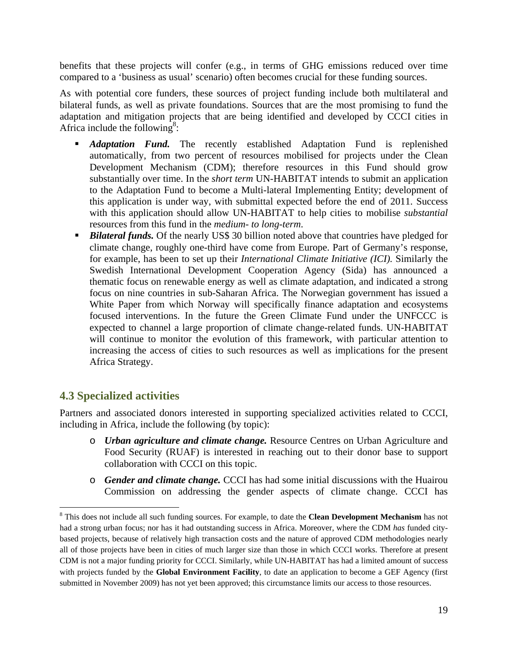benefits that these projects will confer (e.g., in terms of GHG emissions reduced over time compared to a 'business as usual' scenario) often becomes crucial for these funding sources.

As with potential core funders, these sources of project funding include both multilateral and bilateral funds, as well as private foundations. Sources that are the most promising to fund the adaptation and mitigation projects that are being identified and developed by CCCI cities in Africa include the following<sup>8</sup>:

- *Adaptation Fund.* The recently established Adaptation Fund is replenished automatically, from two percent of resources mobilised for projects under the Clean Development Mechanism (CDM); therefore resources in this Fund should grow substantially over time. In the *short term* UN-HABITAT intends to submit an application to the Adaptation Fund to become a Multi-lateral Implementing Entity; development of this application is under way, with submittal expected before the end of 2011. Success with this application should allow UN-HABITAT to help cities to mobilise *substantial*  resources from this fund in the *medium- to long-term*.
- **Bilateral funds.** Of the nearly US\$ 30 billion noted above that countries have pledged for climate change, roughly one-third have come from Europe. Part of Germany's response, for example, has been to set up their *International Climate Initiative (ICI).* Similarly the Swedish International Development Cooperation Agency (Sida) has announced a thematic focus on renewable energy as well as climate adaptation, and indicated a strong focus on nine countries in sub-Saharan Africa. The Norwegian government has issued a White Paper from which Norway will specifically finance adaptation and ecosystems focused interventions. In the future the Green Climate Fund under the UNFCCC is expected to channel a large proportion of climate change-related funds. UN-HABITAT will continue to monitor the evolution of this framework, with particular attention to increasing the access of cities to such resources as well as implications for the present Africa Strategy.

#### **4.3 Specialized activities**

 $\overline{a}$ 

Partners and associated donors interested in supporting specialized activities related to CCCI, including in Africa, include the following (by topic):

- o *Urban agriculture and climate change.* Resource Centres on Urban Agriculture and Food Security (RUAF) is interested in reaching out to their donor base to support collaboration with CCCI on this topic.
- o *Gender and climate change.* CCCI has had some initial discussions with the Huairou Commission on addressing the gender aspects of climate change. CCCI has

<sup>8</sup> This does not include all such funding sources. For example, to date the **Clean Development Mechanism** has not had a strong urban focus; nor has it had outstanding success in Africa. Moreover, where the CDM *has* funded citybased projects, because of relatively high transaction costs and the nature of approved CDM methodologies nearly all of those projects have been in cities of much larger size than those in which CCCI works. Therefore at present CDM is not a major funding priority for CCCI. Similarly, while UN-HABITAT has had a limited amount of success with projects funded by the **Global Environment Facility**, to date an application to become a GEF Agency (first submitted in November 2009) has not yet been approved; this circumstance limits our access to those resources.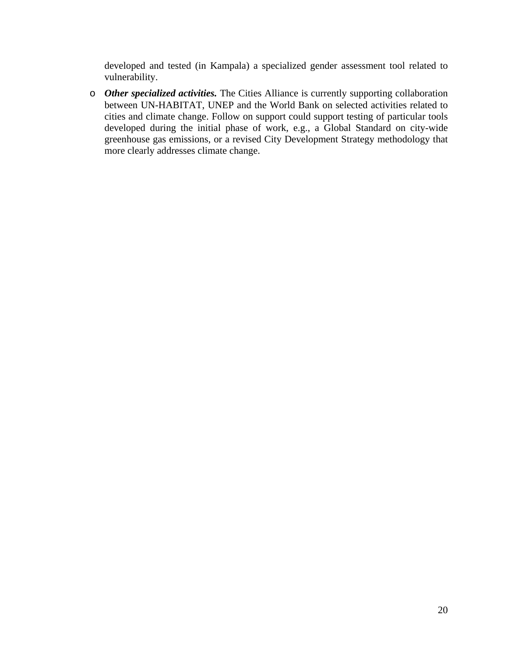developed and tested (in Kampala) a specialized gender assessment tool related to vulnerability.

o *Other specialized activities.* The Cities Alliance is currently supporting collaboration between UN-HABITAT, UNEP and the World Bank on selected activities related to cities and climate change. Follow on support could support testing of particular tools developed during the initial phase of work, e.g., a Global Standard on city-wide greenhouse gas emissions, or a revised City Development Strategy methodology that more clearly addresses climate change.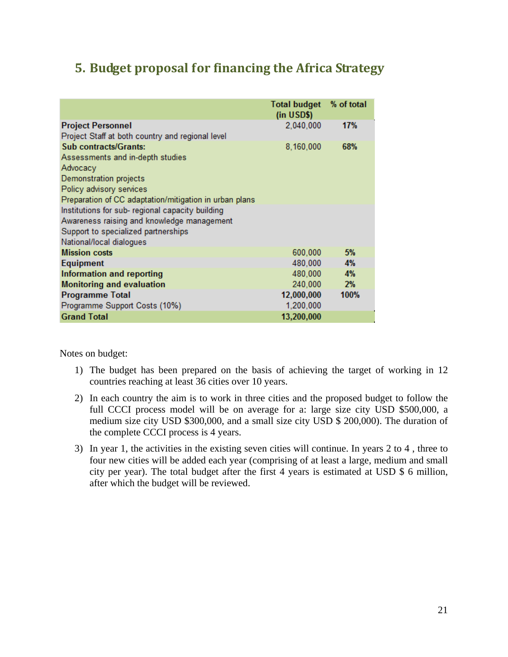## **5. Budget proposal for financing the Africa Strategy**

|                                                        | <b>Total budget</b><br>(in <b>USD\$)</b> | % of total |
|--------------------------------------------------------|------------------------------------------|------------|
| <b>Project Personnel</b>                               | 2,040,000                                | 17%        |
| Project Staff at both country and regional level       |                                          |            |
| <b>Sub contracts/Grants:</b>                           | 8,160,000                                | 68%        |
| Assessments and in-depth studies                       |                                          |            |
| Advocacy                                               |                                          |            |
| Demonstration projects                                 |                                          |            |
| Policy advisory services                               |                                          |            |
| Preparation of CC adaptation/mitigation in urban plans |                                          |            |
| Institutions for sub- regional capacity building       |                                          |            |
| Awareness raising and knowledge management             |                                          |            |
| Support to specialized partnerships                    |                                          |            |
| National/local dialogues                               |                                          |            |
| <b>Mission costs</b>                                   | 600,000                                  | 5%         |
| Equipment                                              | 480,000                                  | 4%         |
| Information and reporting                              | 480,000                                  | 4%         |
| <b>Monitoring and evaluation</b>                       | 240,000                                  | 2%         |
| <b>Programme Total</b>                                 | 12,000,000                               | 100%       |
| Programme Support Costs (10%)                          | 1,200,000                                |            |
| <b>Grand Total</b>                                     | 13,200,000                               |            |

Notes on budget:

- 1) The budget has been prepared on the basis of achieving the target of working in 12 countries reaching at least 36 cities over 10 years.
- 2) In each country the aim is to work in three cities and the proposed budget to follow the full CCCI process model will be on average for a: large size city USD \$500,000, a medium size city USD \$300,000, and a small size city USD \$ 200,000). The duration of the complete CCCI process is 4 years.
- 3) In year 1, the activities in the existing seven cities will continue. In years 2 to 4 , three to four new cities will be added each year (comprising of at least a large, medium and small city per year). The total budget after the first 4 years is estimated at USD \$ 6 million, after which the budget will be reviewed.